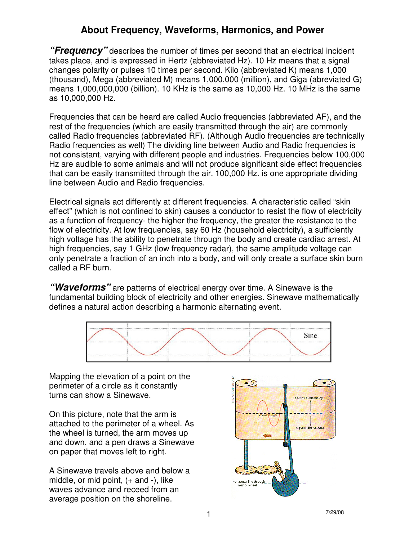## **About Frequency, Waveforms, Harmonics, and Power**

**"Frequency"** describes the number of times per second that an electrical incident takes place, and is expressed in Hertz (abbreviated Hz). 10 Hz means that a signal changes polarity or pulses 10 times per second. Kilo (abbreviated K) means 1,000 (thousand), Mega (abbreviated M) means 1,000,000 (million), and Giga (abreviated G) means 1,000,000,000 (billion). 10 KHz is the same as 10,000 Hz. 10 MHz is the same as 10,000,000 Hz.

Frequencies that can be heard are called Audio frequencies (abbreviated AF), and the rest of the frequencies (which are easily transmitted through the air) are commonly called Radio frequencies (abbreviated RF). (Although Audio frequencies are technically Radio frequencies as well) The dividing line between Audio and Radio frequencies is not consistant, varying with different people and industries. Frequencies below 100,000 Hz are audible to some animals and will not produce significant side effect frequencies that can be easily transmitted through the air. 100,000 Hz. is one appropriate dividing line between Audio and Radio frequencies.

Electrical signals act differently at different frequencies. A characteristic called "skin effect" (which is not confined to skin) causes a conductor to resist the flow of electricity as a function of frequency- the higher the frequency, the greater the resistance to the flow of electricity. At low frequencies, say 60 Hz (household electricity), a sufficiently high voltage has the ability to penetrate through the body and create cardiac arrest. At high frequencies, say 1 GHz (low frequency radar), the same amplitude voltage can only penetrate a fraction of an inch into a body, and will only create a surface skin burn called a RF burn.

**"Waveforms"** are patterns of electrical energy over time. A Sinewave is the fundamental building block of electricity and other energies. Sinewave mathematically defines a natural action describing a harmonic alternating event.



Mapping the elevation of a point on the perimeter of a circle as it constantly turns can show a Sinewave.

On this picture, note that the arm is attached to the perimeter of a wheel. As the wheel is turned, the arm moves up and down, and a pen draws a Sinewave on paper that moves left to right.

A Sinewave travels above and below a middle, or mid point, (+ and -), like waves advance and receed from an average position on the shoreline.

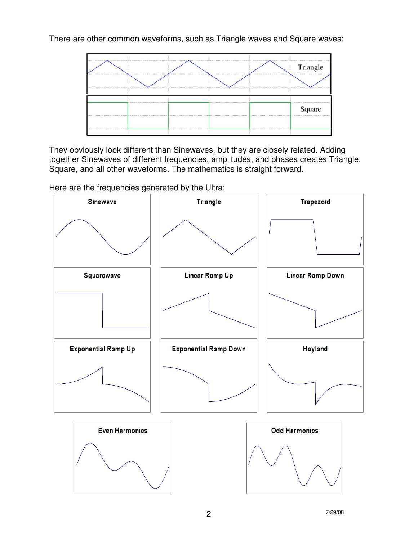There are other common waveforms, such as Triangle waves and Square waves:



They obviously look different than Sinewaves, but they are closely related. Adding together Sinewaves of different frequencies, amplitudes, and phases creates Triangle, Square, and all other waveforms. The mathematics is straight forward.

Here are the frequencies generated by the Ultra:

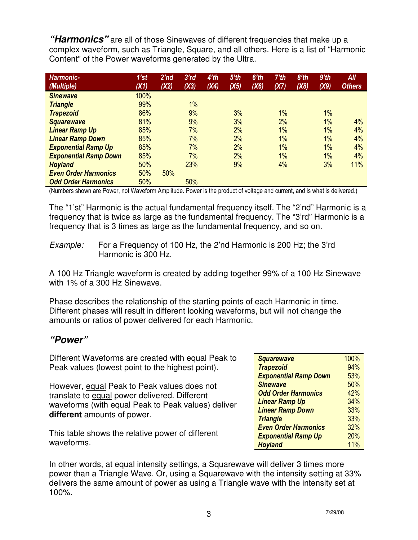**"Harmonics"** are all of those Sinewaves of different frequencies that make up a complex waveform, such as Triangle, Square, and all others. Here is a list of "Harmonic Content" of the Power waveforms generated by the Ultra.

| Harmonic-                    | 1'st | 2'nd | 3'rd | 4'th | $5'$ th | $6'$ th | $7'$ th | 8 <sup>th</sup> | $9'$ th | All           |
|------------------------------|------|------|------|------|---------|---------|---------|-----------------|---------|---------------|
| (Multiple)                   | (X1) | (X2) | (X3) | (X4) | (X5)    | (X6)    | (X7)    | (X8)            | (X9)    | <b>Others</b> |
| <b>Sinewave</b>              | 100% |      |      |      |         |         |         |                 |         |               |
| <b>Triangle</b>              | 99%  |      | 1%   |      |         |         |         |                 |         |               |
| <b>Trapezoid</b>             | 86%  |      | 9%   |      | 3%      |         | 1%      |                 | 1%      |               |
| <b>Squarewave</b>            | 81%  |      | 9%   |      | 3%      |         | 2%      |                 | $1\%$   | 4%            |
| <b>Linear Ramp Up</b>        | 85%  |      | 7%   |      | 2%      |         | 1%      |                 | 1%      | 4%            |
| <b>Linear Ramp Down</b>      | 85%  |      | 7%   |      | 2%      |         | 1%      |                 | 1%      | 4%            |
| <b>Exponential Ramp Up</b>   | 85%  |      | 7%   |      | 2%      |         | $1\%$   |                 | $1\%$   | 4%            |
| <b>Exponential Ramp Down</b> | 85%  |      | 7%   |      | 2%      |         | 1%      |                 | 1%      | 4%            |
| <b>Hoyland</b>               | 50%  |      | 23%  |      | 9%      |         | 4%      |                 | 3%      | 11%           |
| <b>Even Order Harmonics</b>  | 50%  | 50%  |      |      |         |         |         |                 |         |               |
| <b>Odd Order Harmonics</b>   | 50%  |      | 50%  |      |         |         |         |                 |         |               |

(Numbers shown are Power, not Waveform Amplitude. Power is the product of voltage and current, and is what is delivered.)

The "1'st" Harmonic is the actual fundamental frequency itself. The "2'nd" Harmonic is a frequency that is twice as large as the fundamental frequency. The "3'rd" Harmonic is a frequency that is 3 times as large as the fundamental frequency, and so on.

Example: For a Frequency of 100 Hz, the 2'nd Harmonic is 200 Hz; the 3'rd Harmonic is 300 Hz.

A 100 Hz Triangle waveform is created by adding together 99% of a 100 Hz Sinewave with 1% of a 300 Hz Sinewave.

Phase describes the relationship of the starting points of each Harmonic in time. Different phases will result in different looking waveforms, but will not change the amounts or ratios of power delivered for each Harmonic.

## **"Power"**

Different Waveforms are created with equal Peak to Peak values (lowest point to the highest point).

However, equal Peak to Peak values does not translate to equal power delivered. Different waveforms (with equal Peak to Peak values) deliver **different** amounts of power.

This table shows the relative power of different waveforms.

| <b>Squarewave</b>            | 100% |
|------------------------------|------|
| <b>Trapezoid</b>             | 94%  |
| <b>Exponential Ramp Down</b> | 53%  |
| <b>Sinewave</b>              | 50%  |
| <b>Odd Order Harmonics</b>   | 42%  |
| <b>Linear Ramp Up</b>        | 34%  |
| <b>Linear Ramp Down</b>      | 33%  |
| <b>Triangle</b>              | 33%  |
| <b>Even Order Harmonics</b>  | 32%  |
| <b>Exponential Ramp Up</b>   | 20%  |
| <b>Hoyland</b>               | 11%  |

In other words, at equal intensity settings, a Squarewave will deliver 3 times more power than a Triangle Wave. Or, using a Squarewave with the intensity setting at 33% delivers the same amount of power as using a Triangle wave with the intensity set at 100%.